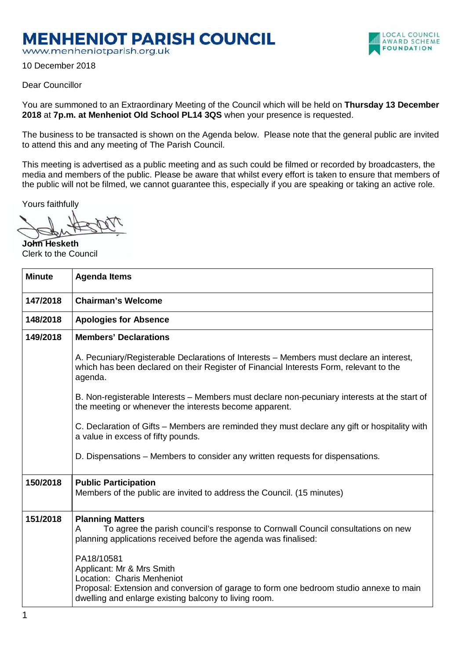## **MENHENIOT PARISH COUNCIL**

www.menheniotparish.org.uk

10 December 2018



You are summoned to an Extraordinary Meeting of the Council which will be held on **Thursday 13 December 2018** at **7p.m. at Menheniot Old School PL14 3QS** when your presence is requested.

LOCAL COUNCIL AWARD SCHEME **FOUNDATION** 

The business to be transacted is shown on the Agenda below. Please note that the general public are invited to attend this and any meeting of The Parish Council.

This meeting is advertised as a public meeting and as such could be filmed or recorded by broadcasters, the media and members of the public. Please be aware that whilst every effort is taken to ensure that members of the public will not be filmed, we cannot guarantee this, especially if you are speaking or taking an active role.

Yours faithfully

**John Hesketh**  Clerk to the Council

| <b>Minute</b> | <b>Agenda Items</b>                                                                                                                                                                                                                                         |  |  |  |  |  |
|---------------|-------------------------------------------------------------------------------------------------------------------------------------------------------------------------------------------------------------------------------------------------------------|--|--|--|--|--|
| 147/2018      | <b>Chairman's Welcome</b>                                                                                                                                                                                                                                   |  |  |  |  |  |
| 148/2018      | <b>Apologies for Absence</b>                                                                                                                                                                                                                                |  |  |  |  |  |
| 149/2018      | <b>Members' Declarations</b>                                                                                                                                                                                                                                |  |  |  |  |  |
|               | A. Pecuniary/Registerable Declarations of Interests – Members must declare an interest,<br>which has been declared on their Register of Financial Interests Form, relevant to the<br>agenda.                                                                |  |  |  |  |  |
|               | B. Non-registerable Interests – Members must declare non-pecuniary interests at the start of<br>the meeting or whenever the interests become apparent.                                                                                                      |  |  |  |  |  |
|               | C. Declaration of Gifts – Members are reminded they must declare any gift or hospitality with<br>a value in excess of fifty pounds.                                                                                                                         |  |  |  |  |  |
|               | D. Dispensations – Members to consider any written requests for dispensations.                                                                                                                                                                              |  |  |  |  |  |
| 150/2018      | <b>Public Participation</b><br>Members of the public are invited to address the Council. (15 minutes)                                                                                                                                                       |  |  |  |  |  |
| 151/2018      | <b>Planning Matters</b><br>To agree the parish council's response to Cornwall Council consultations on new<br>A<br>planning applications received before the agenda was finalised:<br>PA18/10581<br>Applicant: Mr & Mrs Smith<br>Location: Charis Menheniot |  |  |  |  |  |
|               | Proposal: Extension and conversion of garage to form one bedroom studio annexe to main<br>dwelling and enlarge existing balcony to living room.                                                                                                             |  |  |  |  |  |